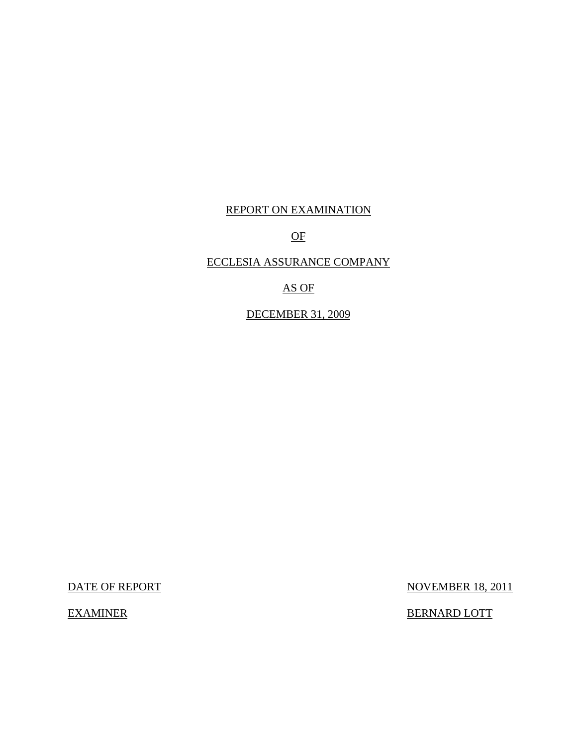# REPORT ON EXAMINATION

OF

# ECCLESIA ASSURANCE COMPANY

AS OF

DECEMBER 31, 2009

DATE OF REPORT NOVEMBER 18, 2011

EXAMINER BERNARD LOTT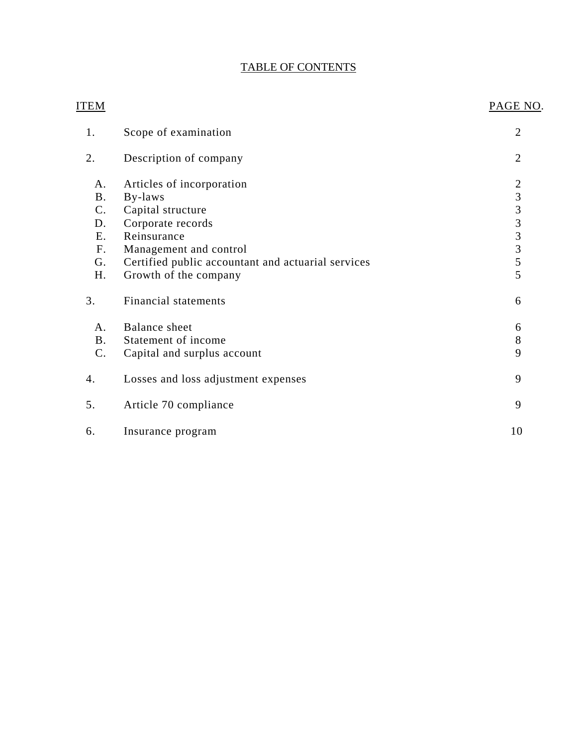# TABLE OF CONTENTS

| <b>ITEM</b>    |                                                    | PAGE NO.                |
|----------------|----------------------------------------------------|-------------------------|
| 1.             | Scope of examination                               | $\overline{2}$          |
| 2.             | Description of company                             | $\overline{2}$          |
| A.             | Articles of incorporation                          | $\overline{2}$          |
| <b>B.</b>      | By-laws                                            |                         |
| $C$ .          | Capital structure                                  |                         |
| D.             | Corporate records                                  | $3333$<br>$335$<br>$55$ |
| E.             | Reinsurance                                        |                         |
| F <sub>r</sub> | Management and control                             |                         |
| G.             | Certified public accountant and actuarial services |                         |
| H.             | Growth of the company                              |                         |
| 3.             | <b>Financial statements</b>                        | 6                       |
| A.             | Balance sheet                                      | 6                       |
| B <sub>1</sub> | Statement of income                                | 8                       |
| C.             | Capital and surplus account                        | 9                       |
| 4.             | Losses and loss adjustment expenses                | 9                       |
| 5.             | Article 70 compliance                              | 9                       |
| 6.             | Insurance program                                  | 10                      |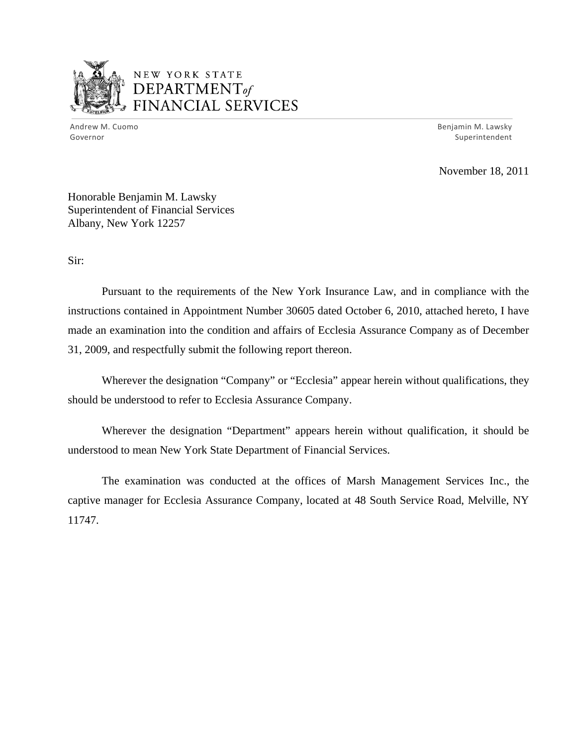

# NEW YORK STATE DEPARTMENTof *~,........,,* FINANCIAL SERVICES

Andrew M. Cuomo **Benjamin M. Lawsky** Governor Superintendent

November 18, 2011

Honorable Benjamin M. Lawsky Superintendent of Financial Services Albany, New York 12257

Sir:

Pursuant to the requirements of the New York Insurance Law, and in compliance with the instructions contained in Appointment Number 30605 dated October 6, 2010, attached hereto, I have made an examination into the condition and affairs of Ecclesia Assurance Company as of December 31, 2009, and respectfully submit the following report thereon.

Wherever the designation "Company" or "Ecclesia" appear herein without qualifications, they should be understood to refer to Ecclesia Assurance Company.

Wherever the designation "Department" appears herein without qualification, it should be understood to mean New York State Department of Financial Services.

The examination was conducted at the offices of Marsh Management Services Inc., the captive manager for Ecclesia Assurance Company, located at 48 South Service Road, Melville, NY 11747.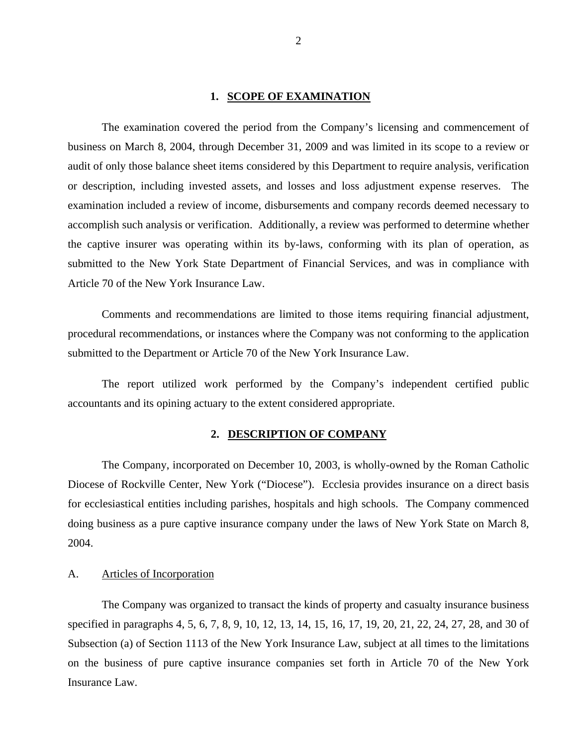#### 1. **SCOPE OF EXAMINATION**

<span id="page-3-0"></span>The examination covered the period from the Company's licensing and commencement of business on March 8, 2004, through December 31, 2009 and was limited in its scope to a review or audit of only those balance sheet items considered by this Department to require analysis, verification or description, including invested assets, and losses and loss adjustment expense reserves. The examination included a review of income, disbursements and company records deemed necessary to accomplish such analysis or verification. Additionally, a review was performed to determine whether the captive insurer was operating within its by-laws, conforming with its plan of operation, as submitted to the New York State Department of Financial Services, and was in compliance with Article 70 of the New York Insurance Law.

Comments and recommendations are limited to those items requiring financial adjustment, procedural recommendations, or instances where the Company was not conforming to the application submitted to the Department or Article 70 of the New York Insurance Law.

The report utilized work performed by the Company's independent certified public accountants and its opining actuary to the extent considered appropriate.

#### **2. DESCRIPTION OF COMPANY**

The Company, incorporated on December 10, 2003, is wholly-owned by the Roman Catholic Diocese of Rockville Center, New York ("Diocese"). Ecclesia provides insurance on a direct basis for ecclesiastical entities including parishes, hospitals and high schools. The Company commenced doing business as a pure captive insurance company under the laws of New York State on March 8, 2004.

#### A. Articles of Incorporation

The Company was organized to transact the kinds of property and casualty insurance business specified in paragraphs 4, 5, 6, 7, 8, 9, 10, 12, 13, 14, 15, 16, 17, 19, 20, 21, 22, 24, 27, 28, and 30 of Subsection (a) of Section 1113 of the New York Insurance Law, subject at all times to the limitations on the business of pure captive insurance companies set forth in Article 70 of the New York Insurance Law.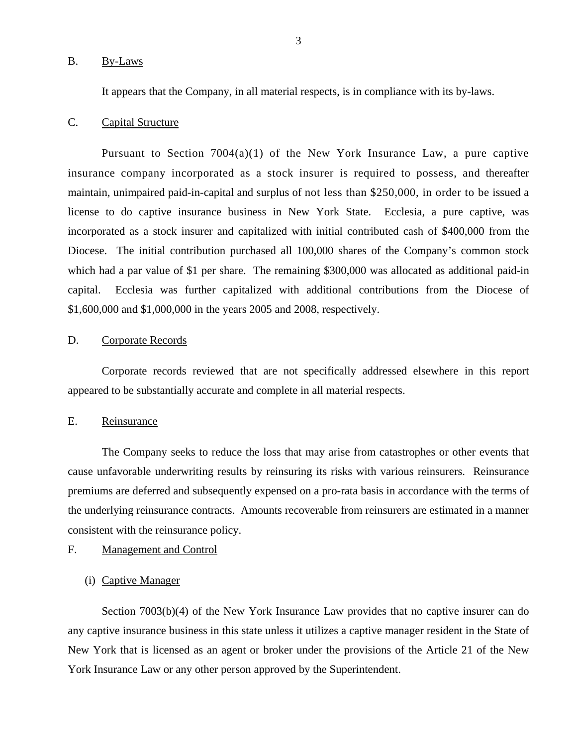#### <span id="page-4-0"></span>B. By-Laws

It appears that the Company, in all material respects, is in compliance with its by-laws.

#### C. Capital Structure

Pursuant to Section  $7004(a)(1)$  of the New York Insurance Law, a pure captive insurance company incorporated as a stock insurer is required to possess, and thereafter maintain, unimpaired paid-in-capital and surplus of not less than \$250,000, in order to be issued a license to do captive insurance business in New York State. Ecclesia, a pure captive, was incorporated as a stock insurer and capitalized with initial contributed cash of \$400,000 from the Diocese. The initial contribution purchased all 100,000 shares of the Company's common stock which had a par value of \$1 per share. The remaining \$300,000 was allocated as additional paid-in capital. Ecclesia was further capitalized with additional contributions from the Diocese of \$1,600,000 and \$1,000,000 in the years 2005 and 2008, respectively.

#### D. Corporate Records

Corporate records reviewed that are not specifically addressed elsewhere in this report appeared to be substantially accurate and complete in all material respects.

## E. Reinsurance

The Company seeks to reduce the loss that may arise from catastrophes or other events that cause unfavorable underwriting results by reinsuring its risks with various reinsurers. Reinsurance premiums are deferred and subsequently expensed on a pro-rata basis in accordance with the terms of the underlying reinsurance contracts. Amounts recoverable from reinsurers are estimated in a manner consistent with the reinsurance policy.

#### F. Management and Control

#### (i) Captive Manager

Section 7003(b)(4) of the New York Insurance Law provides that no captive insurer can do any captive insurance business in this state unless it utilizes a captive manager resident in the State of New York that is licensed as an agent or broker under the provisions of the Article 21 of the New York Insurance Law or any other person approved by the Superintendent.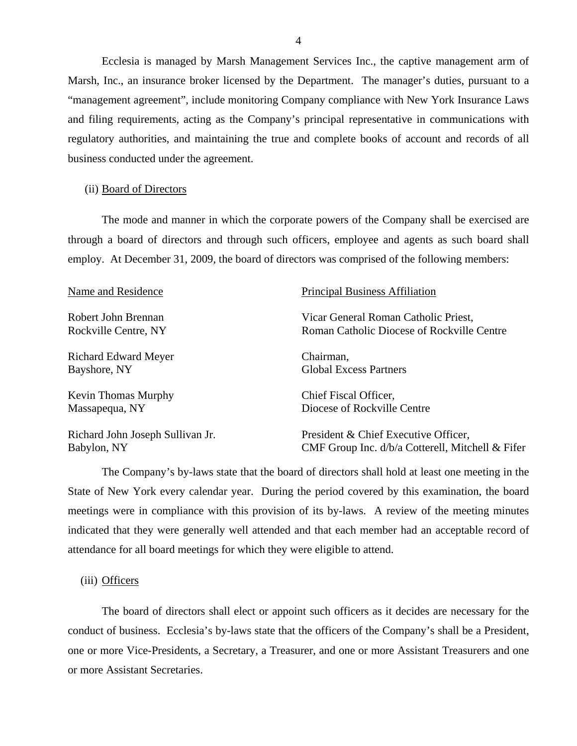Ecclesia is managed by Marsh Management Services Inc., the captive management arm of Marsh, Inc., an insurance broker licensed by the Department. The manager's duties, pursuant to a "management agreement", include monitoring Company compliance with New York Insurance Laws and filing requirements, acting as the Company's principal representative in communications with regulatory authorities, and maintaining the true and complete books of account and records of all business conducted under the agreement.

#### (ii) Board of Directors

The mode and manner in which the corporate powers of the Company shall be exercised are through a board of directors and through such officers, employee and agents as such board shall employ. At December 31, 2009, the board of directors was comprised of the following members:

| Name and Residence               | <b>Principal Business Affiliation</b>            |  |  |
|----------------------------------|--------------------------------------------------|--|--|
| Robert John Brennan              | Vicar General Roman Catholic Priest,             |  |  |
| Rockville Centre, NY             | Roman Catholic Diocese of Rockville Centre       |  |  |
| <b>Richard Edward Meyer</b>      | Chairman,                                        |  |  |
| Bayshore, NY                     | <b>Global Excess Partners</b>                    |  |  |
| <b>Kevin Thomas Murphy</b>       | Chief Fiscal Officer,                            |  |  |
| Massapequa, NY                   | Diocese of Rockville Centre                      |  |  |
| Richard John Joseph Sullivan Jr. | President & Chief Executive Officer,             |  |  |
| Babylon, NY                      | CMF Group Inc. d/b/a Cotterell, Mitchell & Fifer |  |  |

The Company's by-laws state that the board of directors shall hold at least one meeting in the State of New York every calendar year. During the period covered by this examination, the board meetings were in compliance with this provision of its by-laws. A review of the meeting minutes indicated that they were generally well attended and that each member had an acceptable record of attendance for all board meetings for which they were eligible to attend.

#### (iii) Officers

The board of directors shall elect or appoint such officers as it decides are necessary for the conduct of business. Ecclesia's by-laws state that the officers of the Company's shall be a President, one or more Vice-Presidents, a Secretary, a Treasurer, and one or more Assistant Treasurers and one or more Assistant Secretaries.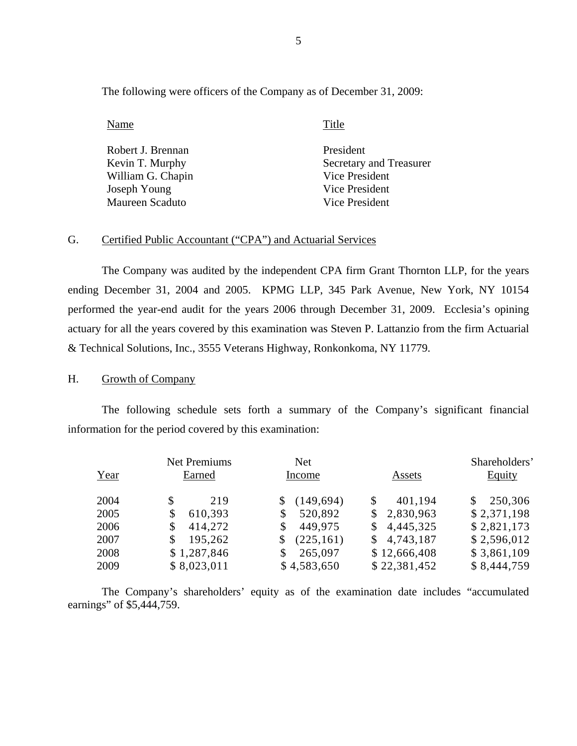The following were officers of the Company as of December 31, 2009:

Name Title

| Robert J. Brennan | President               |
|-------------------|-------------------------|
| Kevin T. Murphy   | Secretary and Treasurer |
| William G. Chapin | Vice President          |
| Joseph Young      | Vice President          |
| Maureen Scaduto   | Vice President          |

#### G. Certified Public Accountant ("CPA") and Actuarial Services

The Company was audited by the independent CPA firm Grant Thornton LLP, for the years ending December 31, 2004 and 2005. KPMG LLP, 345 Park Avenue, New York, NY 10154 performed the year-end audit for the years 2006 through December 31, 2009. Ecclesia's opining actuary for all the years covered by this examination was Steven P. Lattanzio from the firm Actuarial & Technical Solutions, Inc., 3555 Veterans Highway, Ronkonkoma, NY 11779.

#### H. Growth of Company

The following schedule sets forth a summary of the Company's significant financial information for the period covered by this examination:

| Year | <b>Net Premiums</b><br>Earned | Net<br>Income    | Assets                     | Shareholders'<br><b>Equity</b> |
|------|-------------------------------|------------------|----------------------------|--------------------------------|
| 2004 | 219                           | (149, 694)       | 401,194<br>\$              | 250,306<br>\$                  |
| 2005 | 610,393<br>\$                 | 520,892<br>\$    | 2,830,963<br>\$            | \$2,371,198                    |
| 2006 | 414,272<br>\$                 | 449,975<br>\$    | 4,445,325<br><sup>\$</sup> | \$2,821,173                    |
| 2007 | 195,262                       | (225, 161)<br>\$ | 4,743,187<br>\$            | \$2,596,012                    |
| 2008 | \$1,287,846                   | 265,097<br>\$    | \$12,666,408               | \$3,861,109                    |
| 2009 | \$8,023,011                   | \$4,583,650      | \$22,381,452               | \$8,444,759                    |

The Company's shareholders' equity as of the examination date includes "accumulated earnings" of \$5,444,759.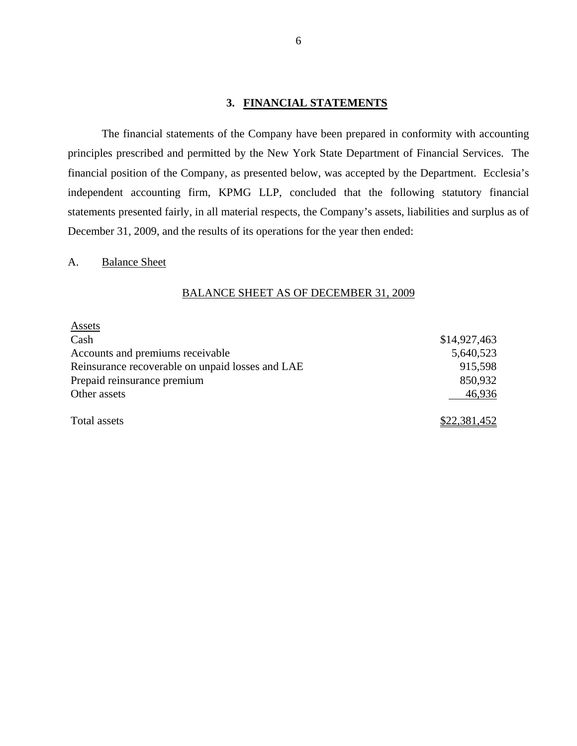### **3. FINANCIAL STATEMENTS**

The financial statements of the Company have been prepared in conformity with accounting principles prescribed and permitted by the New York State Department of Financial Services. The financial position of the Company, as presented below, was accepted by the Department. Ecclesia's independent accounting firm, KPMG LLP, concluded that the following statutory financial statements presented fairly, in all material respects, the Company's assets, liabilities and surplus as of December 31, 2009, and the results of its operations for the year then ended:

### A. Balance Sheet

#### BALANCE SHEET AS OF DECEMBER 31, 2009

| <b>Assets</b>                                    |              |
|--------------------------------------------------|--------------|
| Cash                                             | \$14,927,463 |
| Accounts and premiums receivable                 | 5,640,523    |
| Reinsurance recoverable on unpaid losses and LAE | 915,598      |
| Prepaid reinsurance premium                      | 850,932      |
| Other assets                                     | 46,936       |
| Total assets                                     | \$22,381,452 |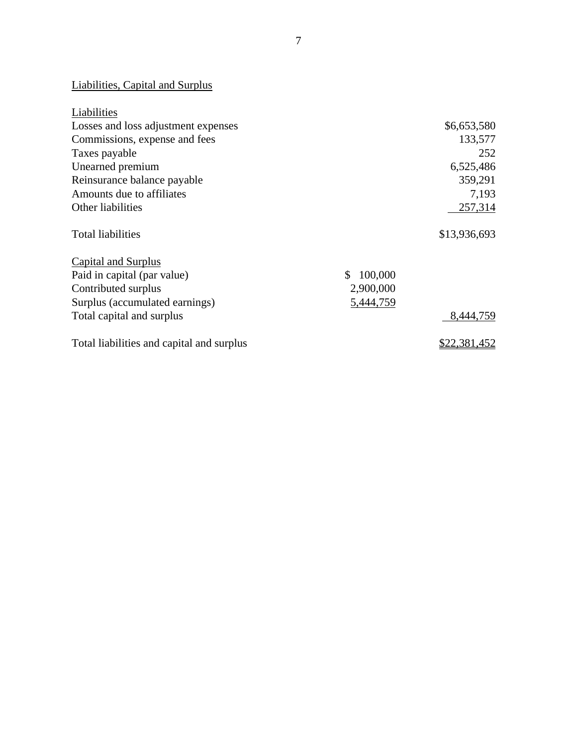# Liabilities, Capital and Surplus

| Liabilities                               |                      |
|-------------------------------------------|----------------------|
| Losses and loss adjustment expenses       | \$6,653,580          |
| Commissions, expense and fees             | 133,577              |
| Taxes payable                             | 252                  |
| Unearned premium                          | 6,525,486            |
| Reinsurance balance payable               | 359,291              |
| Amounts due to affiliates                 | 7,193                |
| Other liabilities                         | 257,314              |
| <b>Total liabilities</b>                  | \$13,936,693         |
| <b>Capital and Surplus</b>                |                      |
| Paid in capital (par value)               | 100,000<br>\$.       |
| Contributed surplus                       | 2,900,000            |
| Surplus (accumulated earnings)            | 5,444,759            |
| Total capital and surplus                 | 8,444,759            |
| Total liabilities and capital and surplus | \$22 <u>,381,452</u> |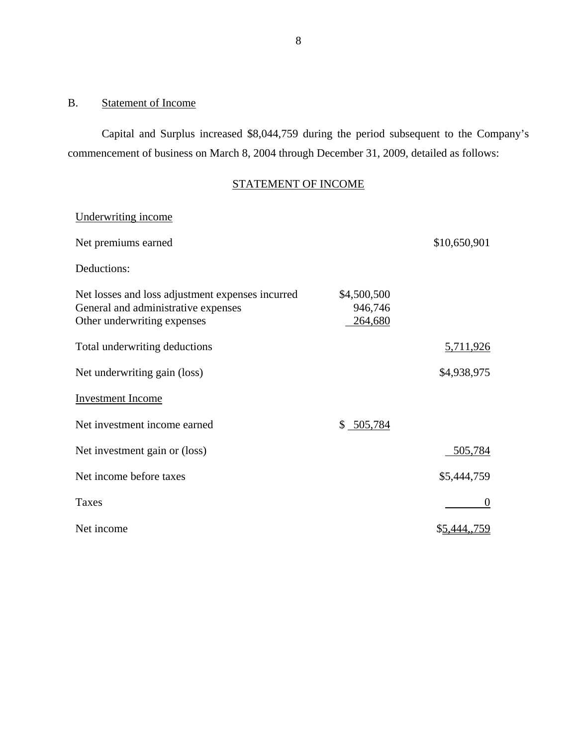## <span id="page-9-0"></span>B. Statement of Income

Capital and Surplus increased \$8,044,759 during the period subsequent to the Company's commencement of business on March 8, 2004 through December 31, 2009, detailed as follows:

# STATEMENT OF INCOME

| Underwriting income                                                                                                    |                                   |              |
|------------------------------------------------------------------------------------------------------------------------|-----------------------------------|--------------|
| Net premiums earned                                                                                                    |                                   | \$10,650,901 |
| Deductions:                                                                                                            |                                   |              |
| Net losses and loss adjustment expenses incurred<br>General and administrative expenses<br>Other underwriting expenses | \$4,500,500<br>946,746<br>264,680 |              |
| Total underwriting deductions                                                                                          |                                   | 5,711,926    |
| Net underwriting gain (loss)                                                                                           |                                   | \$4,938,975  |
| <b>Investment Income</b>                                                                                               |                                   |              |
| Net investment income earned                                                                                           | \$ 505,784                        |              |
| Net investment gain or (loss)                                                                                          |                                   | 505,784      |
| Net income before taxes                                                                                                |                                   | \$5,444,759  |
| Taxes                                                                                                                  |                                   | $\theta$     |
| Net income                                                                                                             |                                   | \$5,444,,759 |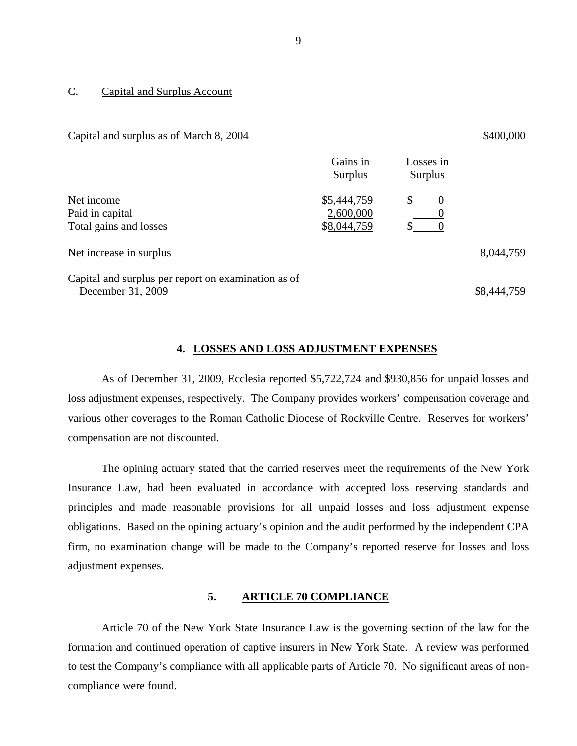#### C. Capital and Surplus Account

Capital and surplus as of March 8,  $2004$   $$400,000$ 

|                                                     | Gains in<br>Surplus | Losses in<br>Surplus |           |
|-----------------------------------------------------|---------------------|----------------------|-----------|
| Net income                                          | \$5,444,759         | \$<br>$\theta$       |           |
| Paid in capital                                     | 2,600,000           |                      |           |
| Total gains and losses                              | \$8,044,759         |                      |           |
| Net increase in surplus                             |                     |                      | 8,044,759 |
| Capital and surplus per report on examination as of |                     |                      |           |

December 31, 2009 \$8,444,759

#### **4. LOSSES AND LOSS ADJUSTMENT EXPENSES**

As of December 31, 2009, Ecclesia reported \$5,722,724 and \$930,856 for unpaid losses and loss adjustment expenses, respectively. The Company provides workers' compensation coverage and various other coverages to the Roman Catholic Diocese of Rockville Centre. Reserves for workers' compensation are not discounted.

The opining actuary stated that the carried reserves meet the requirements of the New York Insurance Law, had been evaluated in accordance with accepted loss reserving standards and principles and made reasonable provisions for all unpaid losses and loss adjustment expense obligations. Based on the opining actuary's opinion and the audit performed by the independent CPA firm, no examination change will be made to the Company's reported reserve for losses and loss adjustment expenses.

### **5. ARTICLE 70 COMPLIANCE**

Article 70 of the New York State Insurance Law is the governing section of the law for the formation and continued operation of captive insurers in New York State. A review was performed to test the Company's compliance with all applicable parts of Article 70. No significant areas of noncompliance were found.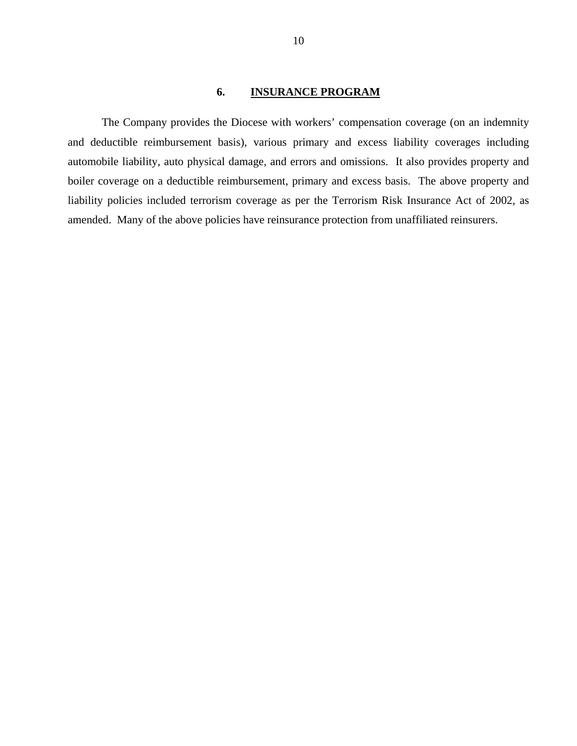## **6. INSURANCE PROGRAM**

<span id="page-11-0"></span>The Company provides the Diocese with workers' compensation coverage (on an indemnity and deductible reimbursement basis), various primary and excess liability coverages including automobile liability, auto physical damage, and errors and omissions. It also provides property and boiler coverage on a deductible reimbursement, primary and excess basis. The above property and liability policies included terrorism coverage as per the Terrorism Risk Insurance Act of 2002, as amended. Many of the above policies have reinsurance protection from unaffiliated reinsurers.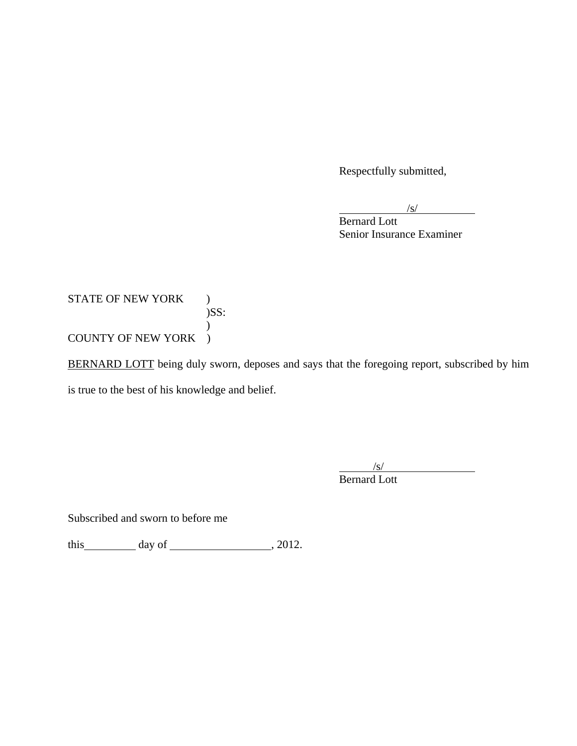Respectfully submitted,

 $\sqrt{s}$ 

**Bernard Lott** Senior Insurance Examiner

STATE OF NEW YORK )  $)$ SS:  $\mathcal{L}$ COUNTY OF NEW YORK )

BERNARD LOTT being duly sworn, deposes and says that the foregoing report, subscribed by him is true to the best of his knowledge and belief.

> $\frac{1}{\sqrt{S}}$ Bernard Lott

Subscribed and sworn to before me

this  $\qquad \qquad$  day of  $\qquad \qquad$  , 2012.